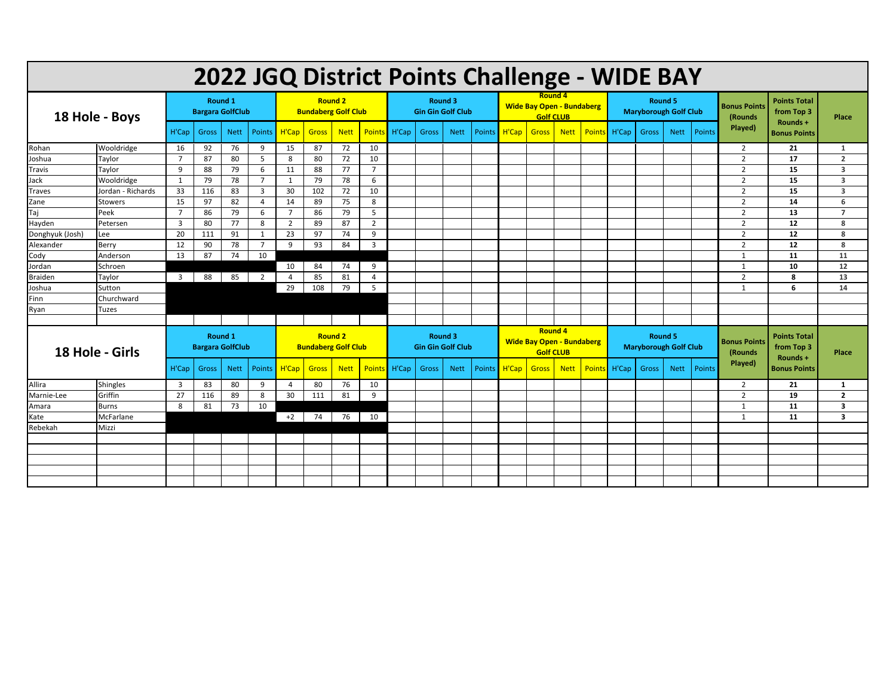| 2022 JGQ District Points Challenge - WIDE BAY |                   |                                    |       |             |                 |                                              |              |             |                         |                                     |       |             |        |                                                                        |              |             |       |                                         |       |             |                                 |                                 |                                               |                         |
|-----------------------------------------------|-------------------|------------------------------------|-------|-------------|-----------------|----------------------------------------------|--------------|-------------|-------------------------|-------------------------------------|-------|-------------|--------|------------------------------------------------------------------------|--------------|-------------|-------|-----------------------------------------|-------|-------------|---------------------------------|---------------------------------|-----------------------------------------------|-------------------------|
| 18 Hole - Boys                                |                   | Round 1<br><b>Bargara GolfClub</b> |       |             |                 | <b>Round 2</b><br><b>Bundaberg Golf Club</b> |              |             |                         | Round 3<br><b>Gin Gin Golf Club</b> |       |             |        | Round 4<br><b>Wide Bay Open - Bundaberg</b><br><b>Golf CLUB</b>        |              |             |       | Round 5<br><b>Maryborough Golf Club</b> |       |             |                                 | <b>Bonus Points</b><br>(Rounds) | <b>Points Total</b><br>from Top 3             | Place                   |
|                                               |                   | H'Cap                              | Gross | <b>Nett</b> | <b>Points</b>   | H'Cap                                        | <b>Gross</b> | <b>Nett</b> | Points                  | H'Cap                               | Gross | <b>Nett</b> | Points | H'Cap                                                                  | <b>Gross</b> | <b>Nett</b> | Point | H'Cap                                   | Gross | <b>Nett</b> | Points                          | Played)                         | Rounds +<br><b>Bonus Points</b>               |                         |
| Rohan                                         | Wooldridge        | 16                                 | 92    | 76          | 9               | 15                                           | 87           | 72          | 10                      |                                     |       |             |        |                                                                        |              |             |       |                                         |       |             |                                 | $\overline{2}$                  | 21                                            | 1                       |
| Joshua                                        | Taylor            | $\overline{7}$                     | 87    | 80          | 5               | 8                                            | 80           | 72          | 10                      |                                     |       |             |        |                                                                        |              |             |       |                                         |       |             |                                 | $\overline{2}$                  | 17                                            | $\overline{2}$          |
| <b>Travis</b>                                 | Taylor            | 9                                  | 88    | 79          | 6               | 11                                           | 88           | 77          | $\overline{7}$          |                                     |       |             |        |                                                                        |              |             |       |                                         |       |             |                                 | $\overline{2}$                  | 15                                            | 3                       |
| Jack                                          | Wooldridge        | 1                                  | 79    | 78          | $\overline{7}$  | 1                                            | 79           | 78          | 6                       |                                     |       |             |        |                                                                        |              |             |       |                                         |       |             |                                 | $\overline{2}$                  | 15                                            | 3                       |
| <b>Traves</b>                                 | Jordan - Richards | 33                                 | 116   | 83          | $\overline{3}$  | 30                                           | 102          | 72          | 10                      |                                     |       |             |        |                                                                        |              |             |       |                                         |       |             |                                 | $\overline{2}$                  | 15                                            | 3                       |
| Zane                                          | <b>Stowers</b>    | 15                                 | 97    | 82          | $\overline{4}$  | 14                                           | 89           | 75          | 8                       |                                     |       |             |        |                                                                        |              |             |       |                                         |       |             |                                 | $\overline{2}$                  | 14                                            | 6                       |
| Taj                                           | Peek              | $\overline{7}$                     | 86    | 79          | 6               | $\overline{7}$                               | 86           | 79          | 5                       |                                     |       |             |        |                                                                        |              |             |       |                                         |       |             |                                 | $\overline{2}$                  | 13                                            | $\overline{7}$          |
| Hayden                                        | Petersen          | $\overline{3}$                     | 80    | 77          | 8               | 2                                            | 89           | 87          | $\overline{2}$          |                                     |       |             |        |                                                                        |              |             |       |                                         |       |             |                                 | $\overline{2}$                  | 12                                            | 8                       |
| Donghyuk (Josh)                               | Lee               | 20                                 | 111   | 91          | 1               | 23                                           | 97           | 74          | 9                       |                                     |       |             |        |                                                                        |              |             |       |                                         |       |             |                                 | $\overline{2}$                  | 12                                            | 8                       |
| Alexander                                     | Berry             | 12                                 | 90    | 78          | $7\overline{ }$ | 9                                            | 93           | 84          | $\overline{\mathbf{3}}$ |                                     |       |             |        |                                                                        |              |             |       |                                         |       |             |                                 | $\overline{2}$                  | 12                                            | 8                       |
| Cody                                          | Anderson          | 13                                 | 87    | 74          | 10              |                                              |              |             |                         |                                     |       |             |        |                                                                        |              |             |       |                                         |       |             |                                 | 1                               | 11                                            | 11                      |
| Jordan                                        | Schroen           |                                    |       |             |                 | 10                                           | 84           | 74          | 9                       |                                     |       |             |        |                                                                        |              |             |       |                                         |       |             |                                 | 1                               | 10                                            | 12                      |
| <b>Braiden</b>                                | Taylor            | $\overline{3}$                     | 88    | 85          | $\overline{2}$  | $\overline{4}$                               | 85           | 81          | $\overline{a}$          |                                     |       |             |        |                                                                        |              |             |       |                                         |       |             |                                 | $\overline{2}$                  | 8                                             | 13                      |
| Joshua                                        | Sutton            |                                    |       |             |                 | 29                                           | 108          | 79          | 5                       |                                     |       |             |        |                                                                        |              |             |       |                                         |       |             |                                 | 1                               | 6                                             | 14                      |
| Finn                                          | Churchward        |                                    |       |             |                 |                                              |              |             |                         |                                     |       |             |        |                                                                        |              |             |       |                                         |       |             |                                 |                                 |                                               |                         |
| Ryan                                          | Tuzes             |                                    |       |             |                 |                                              |              |             |                         |                                     |       |             |        |                                                                        |              |             |       |                                         |       |             |                                 |                                 |                                               |                         |
|                                               |                   |                                    |       |             |                 |                                              |              |             |                         |                                     |       |             |        |                                                                        |              |             |       |                                         |       |             |                                 |                                 |                                               |                         |
| 18 Hole - Girls                               |                   | Round 1<br><b>Bargara GolfClub</b> |       |             |                 | <b>Round 2</b><br><b>Bundaberg Golf Club</b> |              |             |                         | Round 3<br><b>Gin Gin Golf Club</b> |       |             |        | <b>Round 4</b><br><b>Wide Bay Open - Bundaberg</b><br><b>Golf CLUB</b> |              |             |       | Round 5<br><b>Maryborough Golf Club</b> |       |             | <b>Bonus Points</b><br>(Rounds) |                                 | <b>Points Total</b><br>from Top 3<br>Rounds + | Place                   |
|                                               |                   | H'Cap                              | Gross | <b>Nett</b> | Points          | H'Cap                                        | <b>Gross</b> | <b>Nett</b> | <b>Points</b>           | H'Cap                               | Gross | <b>Nett</b> | Points | H'Cap                                                                  | Gross        | <b>Nett</b> | Point | H'Cap                                   | Gross | <b>Nett</b> | <b>Points</b>                   | Played)                         | <b>Bonus Points</b>                           |                         |
| Allira                                        | <b>Shingles</b>   | 3                                  | 83    | 80          | 9               | -4                                           | 80           | 76          | 10                      |                                     |       |             |        |                                                                        |              |             |       |                                         |       |             |                                 | $\overline{2}$                  | 21                                            | 1                       |
| Marnie-Lee                                    | Griffin           | 27                                 | 116   | 89          | 8               | 30                                           | 111          | 81          | 9                       |                                     |       |             |        |                                                                        |              |             |       |                                         |       |             |                                 | $\overline{2}$                  | 19                                            | $\overline{2}$          |
| Amara                                         | <b>Burns</b>      | 8                                  | 81    | 73          | 10              |                                              |              |             |                         |                                     |       |             |        |                                                                        |              |             |       |                                         |       |             |                                 | 1                               | 11                                            | 3                       |
| Kate                                          | McFarlane         |                                    |       |             |                 | $+2$                                         | 74           | 76          | 10                      |                                     |       |             |        |                                                                        |              |             |       |                                         |       |             |                                 | 1                               | 11                                            | $\overline{\mathbf{3}}$ |
| Rebekah                                       | Mizzi             |                                    |       |             |                 |                                              |              |             |                         |                                     |       |             |        |                                                                        |              |             |       |                                         |       |             |                                 |                                 |                                               |                         |
|                                               |                   |                                    |       |             |                 |                                              |              |             |                         |                                     |       |             |        |                                                                        |              |             |       |                                         |       |             |                                 |                                 |                                               |                         |
|                                               |                   |                                    |       |             |                 |                                              |              |             |                         |                                     |       |             |        |                                                                        |              |             |       |                                         |       |             |                                 |                                 |                                               |                         |
|                                               |                   |                                    |       |             |                 |                                              |              |             |                         |                                     |       |             |        |                                                                        |              |             |       |                                         |       |             |                                 |                                 |                                               |                         |
|                                               |                   |                                    |       |             |                 |                                              |              |             |                         |                                     |       |             |        |                                                                        |              |             |       |                                         |       |             |                                 |                                 |                                               |                         |
|                                               |                   |                                    |       |             |                 |                                              |              |             |                         |                                     |       |             |        |                                                                        |              |             |       |                                         |       |             |                                 |                                 |                                               |                         |